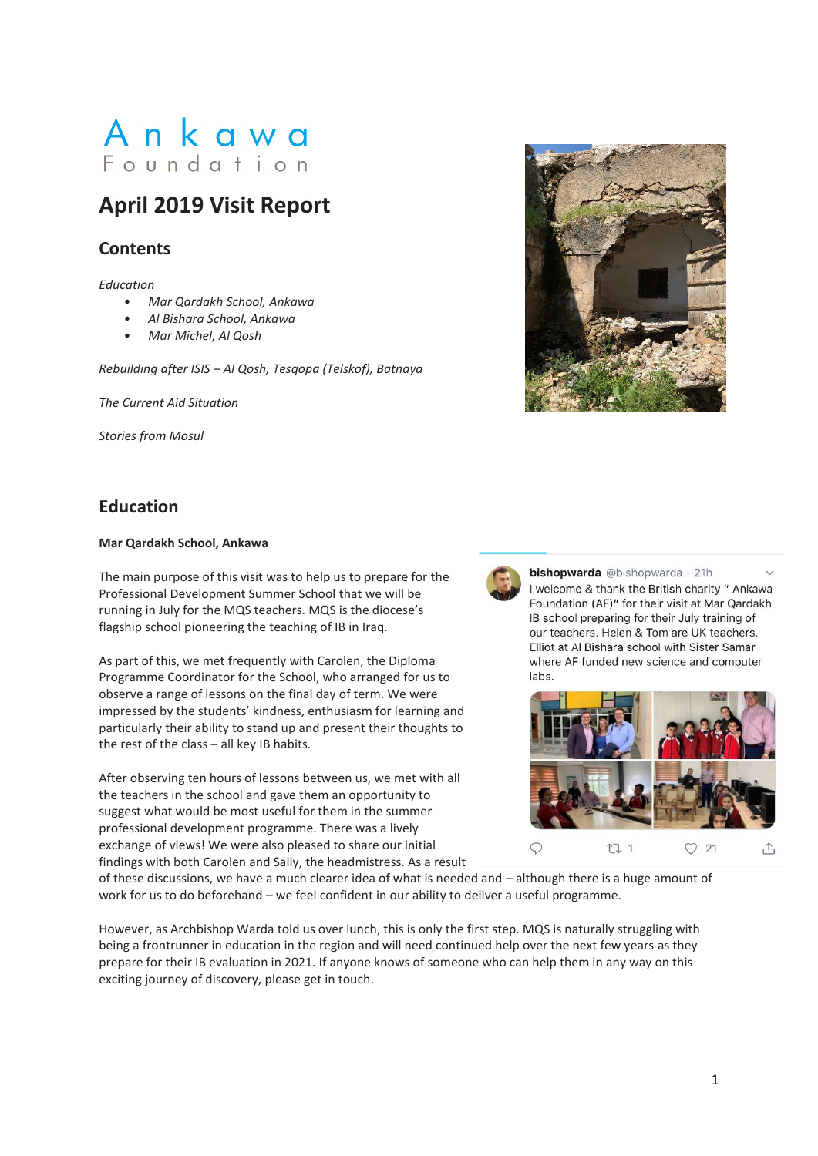# Ankawa Foundation

## **April 2019 Visit Report**

### **Contents**

*Education* 

- *• Mar Qardakh School, Ankawa*
- *• Al Bishara School, Ankawa*
- *• Mar Michel, Al Qosh*

*Rebuilding after ISIS – Al Qosh, Tesqopa (Telskof), Batnaya* 

*The Current Aid Situation* 

*Stories from Mosul* 

### **Education**

### **Mar Qardakh School, Ankawa**

The main purpose of this visit was to help us to prepare for the Professional Development Summer School that we will be running in July for the MQS teachers. MQS is the diocese's flagship school pioneering the teaching of IB in Iraq.

As part of this, we met frequently with Carolen, the Diploma Programme Coordinator for the School, who arranged for us to observe a range of lessons on the final day of term. We were impressed by the students' kindness, enthusiasm for learning and particularly their ability to stand up and present their thoughts to the rest of the class – all key IB habits.

After observing ten hours of lessons between us, we met with all the teachers in the school and gave them an opportunity to suggest what would be most useful for them in the summer professional development programme. There was a lively exchange of views! We were also pleased to share our initial findings with both Carolen and Sally, the headmistress. As a result



bishopwarda @bishopwarda · 21h I welcome & thank the British charity " Ankawa Foundation (AF)" for their visit at Mar Qardakh IB school preparing for their July training of our teachers. Helen & Tom are UK teachers. Elliot at Al Bishara school with Sister Samar where AF funded new science and computer labs.



of these discussions, we have a much clearer idea of what is needed and – although there is a huge amount of work for us to do beforehand – we feel confident in our ability to deliver a useful programme.

However, as Archbishop Warda told us over lunch, this is only the first step. MQS is naturally struggling with being a frontrunner in education in the region and will need continued help over the next few years as they prepare for their IB evaluation in 2021. If anyone knows of someone who can help them in any way on this exciting journey of discovery, please get in touch.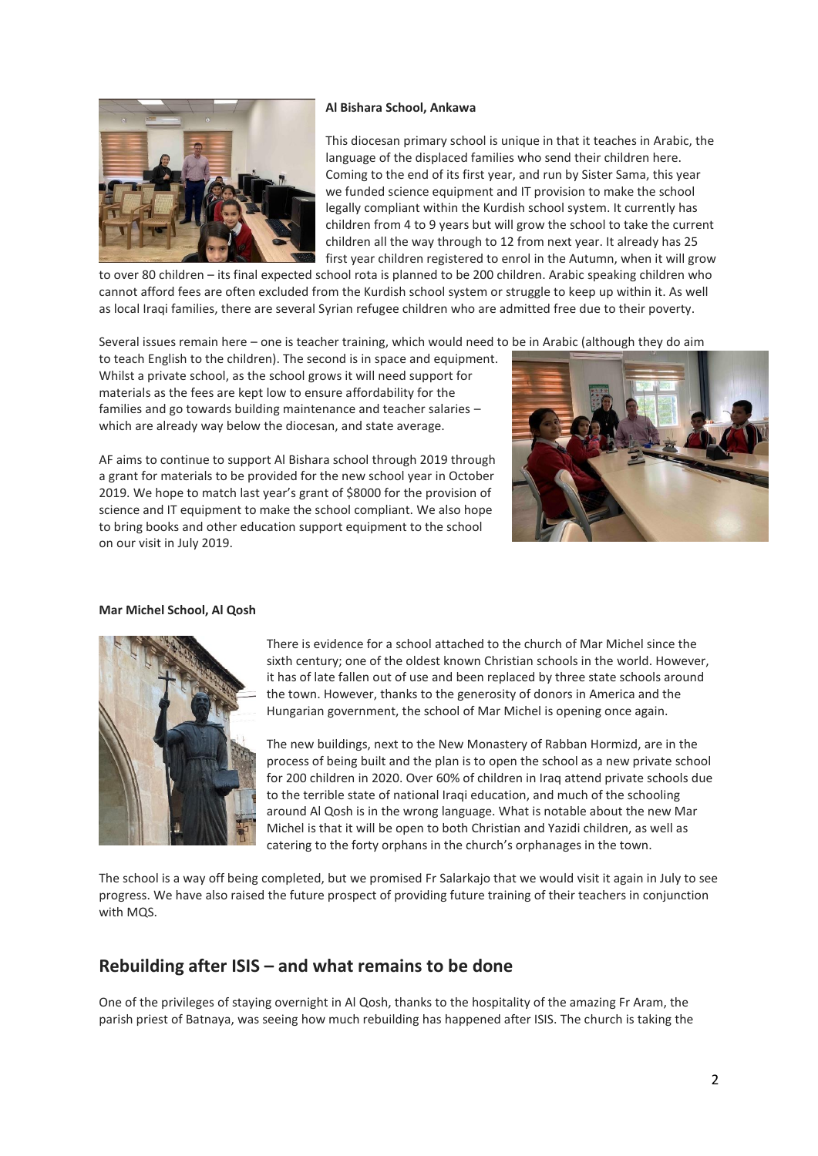#### **Al Bishara School, Ankawa**



This diocesan primary school is unique in that it teaches in Arabic, the language of the displaced families who send their children here. Coming to the end of its first year, and run by Sister Sama, this year we funded science equipment and IT provision to make the school legally compliant within the Kurdish school system. It currently has children from 4 to 9 years but will grow the school to take the current children all the way through to 12 from next year. It already has 25 first year children registered to enrol in the Autumn, when it will grow

to over 80 children – its final expected school rota is planned to be 200 children. Arabic speaking children who cannot afford fees are often excluded from the Kurdish school system or struggle to keep up within it. As well as local Iraqi families, there are several Syrian refugee children who are admitted free due to their poverty.

Several issues remain here – one is teacher training, which would need to be in Arabic (although they do aim

to teach English to the children). The second is in space and equipment. Whilst a private school, as the school grows it will need support for materials as the fees are kept low to ensure affordability for the families and go towards building maintenance and teacher salaries – which are already way below the diocesan, and state average.

AF aims to continue to support Al Bishara school through 2019 through a grant for materials to be provided for the new school year in October 2019. We hope to match last year's grant of \$8000 for the provision of science and IT equipment to make the school compliant. We also hope to bring books and other education support equipment to the school on our visit in July 2019.



#### **Mar Michel School, Al Qosh**



There is evidence for a school attached to the church of Mar Michel since the sixth century; one of the oldest known Christian schools in the world. However, it has of late fallen out of use and been replaced by three state schools around the town. However, thanks to the generosity of donors in America and the Hungarian government, the school of Mar Michel is opening once again.

The new buildings, next to the New Monastery of Rabban Hormizd, are in the process of being built and the plan is to open the school as a new private school for 200 children in 2020. Over 60% of children in Iraq attend private schools due to the terrible state of national Iragi education, and much of the schooling around Al Qosh is in the wrong language. What is notable about the new Mar Michel is that it will be open to both Christian and Yazidi children, as well as catering to the forty orphans in the church's orphanages in the town.

The school is a way off being completed, but we promised Fr Salarkajo that we would visit it again in July to see progress. We have also raised the future prospect of providing future training of their teachers in conjunction with MQS.

### **Rebuilding after ISIS – and what remains to be done**

One of the privileges of staying overnight in Al Qosh, thanks to the hospitality of the amazing Fr Aram, the parish priest of Batnaya, was seeing how much rebuilding has happened after ISIS. The church is taking the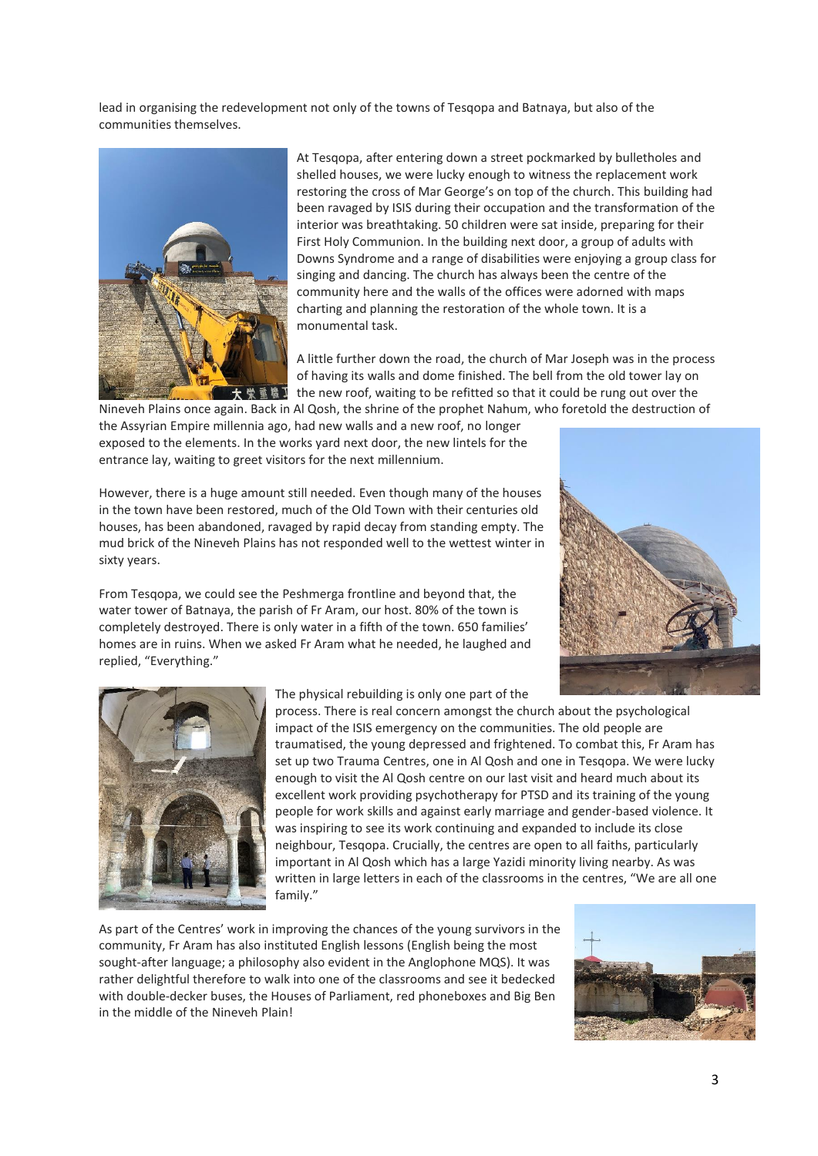lead in organising the redevelopment not only of the towns of Tesqopa and Batnaya, but also of the communities themselves.



At Tesqopa, after entering down a street pockmarked by bulletholes and shelled houses, we were lucky enough to witness the replacement work restoring the cross of Mar George's on top of the church. This building had been ravaged by ISIS during their occupation and the transformation of the interior was breathtaking. 50 children were sat inside, preparing for their First Holy Communion. In the building next door, a group of adults with Downs Syndrome and a range of disabilities were enjoying a group class for singing and dancing. The church has always been the centre of the community here and the walls of the offices were adorned with maps charting and planning the restoration of the whole town. It is a monumental task.

A little further down the road, the church of Mar Joseph was in the process of having its walls and dome finished. The bell from the old tower lay on the new roof, waiting to be refitted so that it could be rung out over the Nineveh Plains once again. Back in Al Qosh, the shrine of the prophet Nahum, who foretold the destruction of

the Assyrian Empire millennia ago, had new walls and a new roof, no longer exposed to the elements. In the works yard next door, the new lintels for the entrance lay, waiting to greet visitors for the next millennium.

However, there is a huge amount still needed. Even though many of the houses in the town have been restored, much of the Old Town with their centuries old houses, has been abandoned, ravaged by rapid decay from standing empty. The mud brick of the Nineveh Plains has not responded well to the wettest winter in sixty years.

From Tesqopa, we could see the Peshmerga frontline and beyond that, the water tower of Batnaya, the parish of Fr Aram, our host. 80% of the town is completely destroyed. There is only water in a fifth of the town. 650 families' homes are in ruins. When we asked Fr Aram what he needed, he laughed and replied, "Everything."





The physical rebuilding is only one part of the

process. There is real concern amongst the church about the psychological impact of the ISIS emergency on the communities. The old people are traumatised, the young depressed and frightened. To combat this, Fr Aram has set up two Trauma Centres, one in Al Qosh and one in Tesqopa. We were lucky enough to visit the Al Qosh centre on our last visit and heard much about its excellent work providing psychotherapy for PTSD and its training of the young people for work skills and against early marriage and gender-based violence. It was inspiring to see its work continuing and expanded to include its close neighbour, Tesqopa. Crucially, the centres are open to all faiths, particularly important in Al Qosh which has a large Yazidi minority living nearby. As was written in large letters in each of the classrooms in the centres, "We are all one family."

As part of the Centres' work in improving the chances of the young survivors in the community, Fr Aram has also instituted English lessons (English being the most sought-after language; a philosophy also evident in the Anglophone MQS). It was rather delightful therefore to walk into one of the classrooms and see it bedecked with double-decker buses, the Houses of Parliament, red phoneboxes and Big Ben in the middle of the Nineveh Plain!

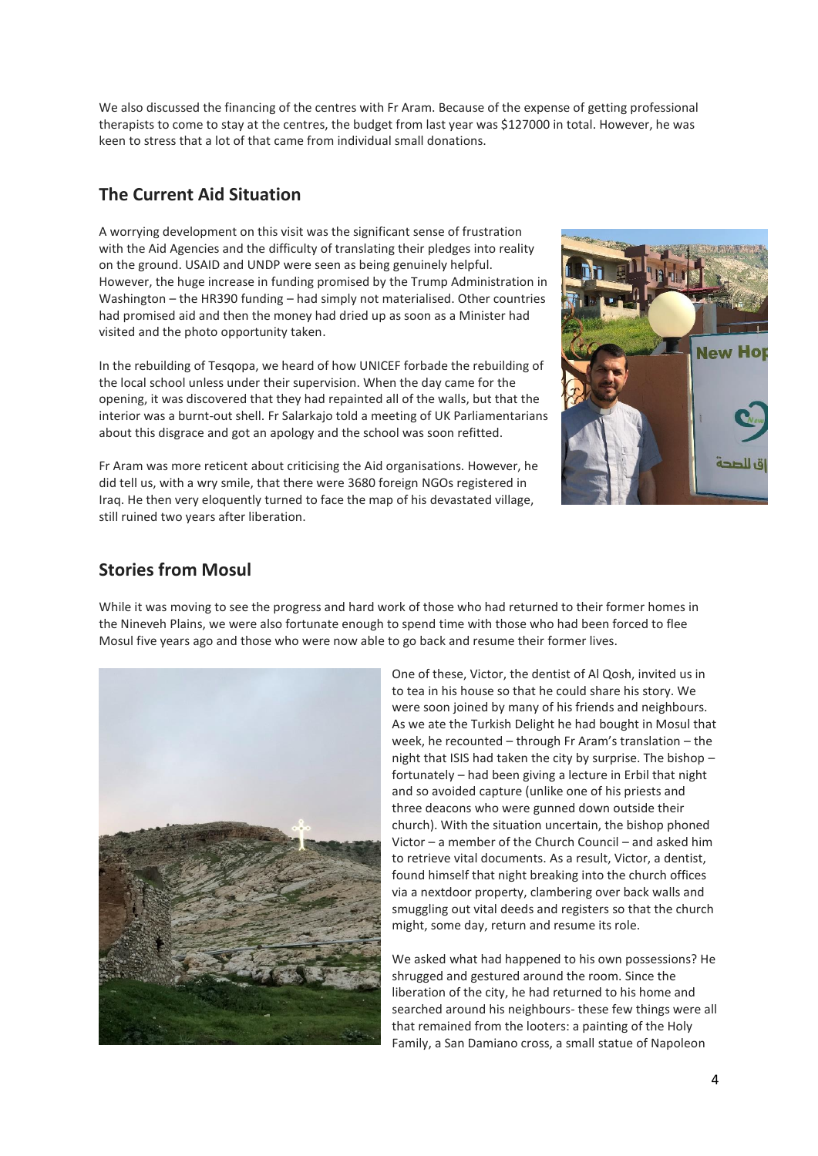We also discussed the financing of the centres with Fr Aram. Because of the expense of getting professional therapists to come to stay at the centres, the budget from last year was \$127000 in total. However, he was keen to stress that a lot of that came from individual small donations.

### **The Current Aid Situation**

A worrying development on this visit was the significant sense of frustration with the Aid Agencies and the difficulty of translating their pledges into reality on the ground. USAID and UNDP were seen as being genuinely helpful. However, the huge increase in funding promised by the Trump Administration in Washington – the HR390 funding – had simply not materialised. Other countries had promised aid and then the money had dried up as soon as a Minister had visited and the photo opportunity taken.

In the rebuilding of Tesqopa, we heard of how UNICEF forbade the rebuilding of the local school unless under their supervision. When the day came for the opening, it was discovered that they had repainted all of the walls, but that the interior was a burnt-out shell. Fr Salarkajo told a meeting of UK Parliamentarians about this disgrace and got an apology and the school was soon refitted.

Fr Aram was more reticent about criticising the Aid organisations. However, he did tell us, with a wry smile, that there were 3680 foreign NGOs registered in Iraq. He then very eloquently turned to face the map of his devastated village, still ruined two years after liberation.



### **Stories from Mosul**

While it was moving to see the progress and hard work of those who had returned to their former homes in the Nineveh Plains, we were also fortunate enough to spend time with those who had been forced to flee Mosul five years ago and those who were now able to go back and resume their former lives.



One of these, Victor, the dentist of Al Qosh, invited us in to tea in his house so that he could share his story. We were soon joined by many of his friends and neighbours. As we ate the Turkish Delight he had bought in Mosul that week, he recounted – through Fr Aram's translation – the night that ISIS had taken the city by surprise. The bishop – fortunately – had been giving a lecture in Erbil that night and so avoided capture (unlike one of his priests and three deacons who were gunned down outside their church). With the situation uncertain, the bishop phoned Victor – a member of the Church Council – and asked him to retrieve vital documents. As a result, Victor, a dentist, found himself that night breaking into the church offices via a nextdoor property, clambering over back walls and smuggling out vital deeds and registers so that the church might, some day, return and resume its role.

We asked what had happened to his own possessions? He shrugged and gestured around the room. Since the liberation of the city, he had returned to his home and searched around his neighbours- these few things were all that remained from the looters: a painting of the Holy Family, a San Damiano cross, a small statue of Napoleon